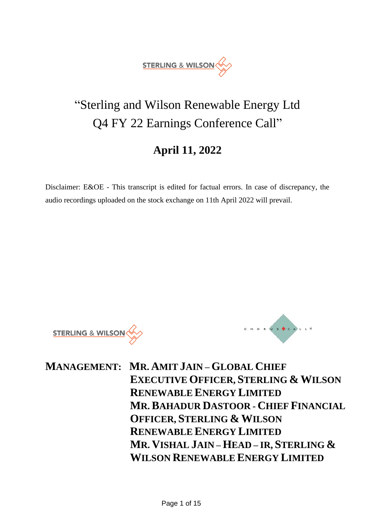

# "Sterling and Wilson Renewable Energy Ltd Q4 FY 22 Earnings Conference Call"

# **April 11, 2022**

Disclaimer: E&OE - This transcript is edited for factual errors. In case of discrepancy, the audio recordings uploaded on the stock exchange on 11th April 2022 will prevail.

**STERLING & WILSON** 



**MANAGEMENT: MR. AMIT JAIN – GLOBAL CHIEF EXECUTIVE OFFICER, STERLING & WILSON RENEWABLE ENERGY LIMITED MR.BAHADUR DASTOOR - CHIEF FINANCIAL OFFICER, STERLING & WILSON RENEWABLE ENERGY LIMITED MR. VISHAL JAIN – HEAD – IR, STERLING & WILSON RENEWABLE ENERGY LIMITED**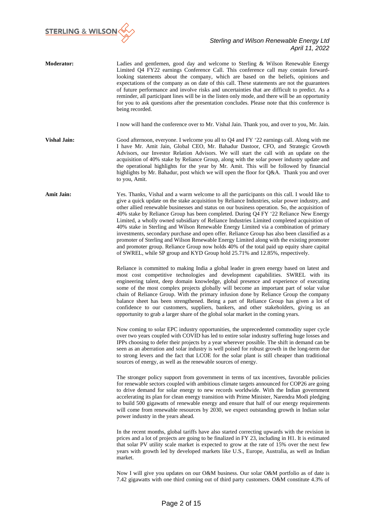

| <b>Moderator:</b>   | Ladies and gentlemen, good day and welcome to Sterling & Wilson Renewable Energy<br>Limited Q4 FY22 earnings Conference Call. This conference call may contain forward-<br>looking statements about the company, which are based on the beliefs, opinions and<br>expectations of the company as on date of this call. These statements are not the guarantees<br>of future performance and involve risks and uncertainties that are difficult to predict. As a<br>reminder, all participant lines will be in the listen only mode, and there will be an opportunity<br>for you to ask questions after the presentation concludes. Please note that this conference is<br>being recorded.                                                                                                                                                                                                                                                                    |
|---------------------|-------------------------------------------------------------------------------------------------------------------------------------------------------------------------------------------------------------------------------------------------------------------------------------------------------------------------------------------------------------------------------------------------------------------------------------------------------------------------------------------------------------------------------------------------------------------------------------------------------------------------------------------------------------------------------------------------------------------------------------------------------------------------------------------------------------------------------------------------------------------------------------------------------------------------------------------------------------|
|                     | I now will hand the conference over to Mr. Vishal Jain. Thank you, and over to you, Mr. Jain.                                                                                                                                                                                                                                                                                                                                                                                                                                                                                                                                                                                                                                                                                                                                                                                                                                                               |
| <b>Vishal Jain:</b> | Good afternoon, everyone. I welcome you all to Q4 and FY '22 earnings call. Along with me<br>I have Mr. Amit Jain, Global CEO, Mr. Bahadur Dastoor, CFO, and Strategic Growth<br>Advisors, our Investor Relation Advisors. We will start the call with an update on the<br>acquisition of 40% stake by Reliance Group, along with the solar power industry update and<br>the operational highlights for the year by Mr. Amit. This will be followed by financial<br>highlights by Mr. Bahadur, post which we will open the floor for Q&A. Thank you and over<br>to you, Amit.                                                                                                                                                                                                                                                                                                                                                                               |
| <b>Amit Jain:</b>   | Yes. Thanks, Vishal and a warm welcome to all the participants on this call. I would like to<br>give a quick update on the stake acquisition by Reliance Industries, solar power industry, and<br>other allied renewable businesses and status on our business operation. So, the acquisition of<br>40% stake by Reliance Group has been completed. During Q4 FY '22 Reliance New Energy<br>Limited, a wholly owned subsidiary of Reliance Industries Limited completed acquisition of<br>40% stake in Sterling and Wilson Renewable Energy Limited via a combination of primary<br>investments, secondary purchase and open offer. Reliance Group has also been classified as a<br>promoter of Sterling and Wilson Renewable Energy Limited along with the existing promoter<br>and promoter group. Reliance Group now holds 40% of the total paid up equity share capital<br>of SWREL, while SP group and KYD Group hold 25.71% and 12.85%, respectively. |
|                     | Reliance is committed to making India a global leader in green energy based on latest and<br>most cost competitive technologies and development capabilities. SWREL with its<br>engineering talent, deep domain knowledge, global presence and experience of executing<br>some of the most complex projects globally will become an important part of solar value<br>chain of Reliance Group. With the primary infusion done by Reliance Group the company<br>balance sheet has been strengthened. Being a part of Reliance Group has given a lot of<br>confidence to our customers, suppliers, bankers, and other stakeholders, giving us an<br>opportunity to grab a larger share of the global solar market in the coming years.                                                                                                                                                                                                                         |
|                     | Now coming to solar EPC industry opportunities, the unprecedented commodity super cycle<br>over two years coupled with COVID has led to entire solar industry suffering huge losses and<br>IPPs choosing to defer their projects by a year wherever possible. The shift in demand can be<br>seen as an aberration and solar industry is well poised for robust growth in the long-term due<br>to strong levers and the fact that LCOE for the solar plant is still cheaper than traditional<br>sources of energy, as well as the renewable sources of energy.                                                                                                                                                                                                                                                                                                                                                                                               |
|                     | The stronger policy support from government in terms of tax incentives, favorable policies<br>for renewable sectors coupled with ambitious climate targets announced for COP26 are going<br>to drive demand for solar energy to new records worldwide. With the Indian government<br>accelerating its plan for clean energy transition with Prime Minister, Narendra Modi pledging<br>to build 500 gigawatts of renewable energy and ensure that half of our energy requirements<br>will come from renewable resources by 2030, we expect outstanding growth in Indian solar<br>power industry in the years ahead.                                                                                                                                                                                                                                                                                                                                          |
|                     | In the recent months, global tariffs have also started correcting upwards with the revision in<br>prices and a lot of projects are going to be finalized in FY 23, including in H1. It is estimated<br>that solar PV utility scale market is expected to grow at the rate of 15% over the next few<br>years with growth led by developed markets like U.S., Europe, Australia, as well as Indian<br>market.                                                                                                                                                                                                                                                                                                                                                                                                                                                                                                                                                 |
|                     | Now I will give you updates on our O&M business. Our solar O&M portfolio as of date is<br>7.42 gigawatts with one third coming out of third party customers. O&M constitute 4.3% of                                                                                                                                                                                                                                                                                                                                                                                                                                                                                                                                                                                                                                                                                                                                                                         |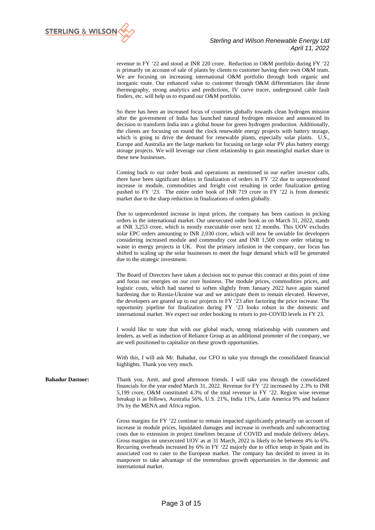

revenue in FY '22 and stood at INR 220 crore. Reduction in O&M portfolio during FY '22 is primarily on account of sale of plants by clients to customer having their own O&M team. We are focusing on increasing international O&M portfolio through both organic and inorganic route. Our enhanced value to customer through O&M differentiators like drone thermography, strong analytics and predictions, IV curve tracer, underground cable fault finders, etc. will help us to expand our O&M portfolio.

So there has been an increased focus of countries globally towards clean hydrogen mission after the government of India has launched natural hydrogen mission and announced its decision to transform India into a global house for green hydrogen production. Additionally, the clients are focusing on round the clock renewable energy projects with battery storage, which is going to drive the demand for renewable plants, especially solar plants. U.S., Europe and Australia are the large markets for focusing on large solar PV plus battery energy storage projects. We will leverage our client relationship to gain meaningful market share in these new businesses.

Coming back to our order book and operations as mentioned in our earlier investor calls, there have been significant delays in finalization of orders in FY '22 due to unprecedented increase in module, commodities and freight cost resulting in order finalization getting pushed to FY '23. The entire order book of INR 719 crore in FY '22 is from domestic market due to the sharp reduction in finalizations of orders globally.

Due to unprecedented increase in input prices, the company has been cautious in picking orders in the international market. Our unexecuted order book as on March 31, 2022, stands at INR 3,253 crore, which is mostly executable over next 12 months. This UOV excludes solar EPC orders amounting to INR 2,030 crore, which will now be unviable for developers considering increased module and commodity cost and INR 1,500 crore order relating to waste to energy projects in UK. Post the primary infusion in the company, our focus has shifted to scaling up the solar businesses to meet the huge demand which will be generated due to the strategic investment.

The Board of Directors have taken a decision not to pursue this contract at this point of time and focus our energies on our core business. The module prices, commodities prices, and logistic costs, which had started to soften slightly from January 2022 have again started hardening due to Russia-Ukraine war and we anticipate them to remain elevated. However, the developers are geared up to our projects in FY '23 after factoring the price increase. The opportunity pipeline for finalization during FY '23 looks robust in the domestic and international market. We expect our order booking to return to pre-COVID levels in FY 23.

I would like to state that with our global reach, strong relationship with customers and lenders, as well as induction of Reliance Group as an additional promoter of the company, we are well positioned to capitalize on these growth opportunities.

With this, I will ask Mr. Bahadur, our CFO to take you through the consolidated financial highlights. Thank you very much.

**Bahadur Dastoor:** Thank you, Amit, and good afternoon friends. I will take you through the consolidated financials for the year ended March 31, 2022. Revenue for FY '22 increased by 2.3% to INR 5,199 crore, O&M constituted 4.3% of the total revenue in FY '22. Region wise revenue breakup is as follows, Australia 56%, U.S. 21%, India 11%, Latin America 9% and balance 3% by the MENA and Africa region.

> Gross margins for FY '22 continue to remain impacted significantly primarily on account of increase in module prices, liquidated damages and increase in overheads and subcontracting costs due to extension in project timelines because of COVID and module delivery delays. Gross margins on unexecuted UOV as at 31 March, 2022 is likely to be between 4% to 6%. Recurring overheads increased by 6% in FY '22 majorly due to office setup in Spain and its associated cost to cater to the European market. The company has decided to invest in its manpower to take advantage of the tremendous growth opportunities in the domestic and international market.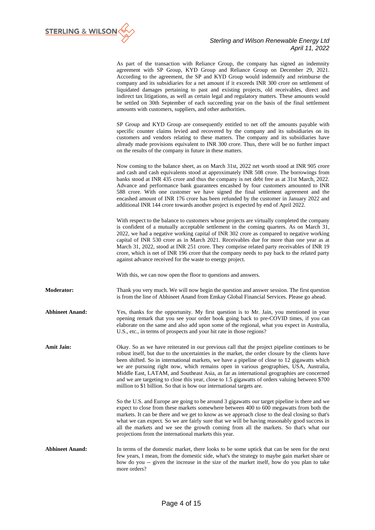

| As part of the transaction with Reliance Group, the company has signed an indemnity<br>agreement with SP Group, KYD Group and Reliance Group on December 29, 2021. |
|--------------------------------------------------------------------------------------------------------------------------------------------------------------------|
| According to the agreement, the SP and KYD Group would indemnify and reimburse the                                                                                 |
| company and its subsidiaries for a net amount if it exceeds INR 300 crore on settlement of                                                                         |
| liquidated damages pertaining to past and existing projects, old receivables, direct and                                                                           |
| indirect tax litigations, as well as certain legal and regulatory matters. These amounts would                                                                     |
| be settled on 30th September of each succeeding year on the basis of the final settlement                                                                          |
| amounts with customers, suppliers, and other authorities.                                                                                                          |

SP Group and KYD Group are consequently entitled to net off the amounts payable with specific counter claims levied and recovered by the company and its subsidiaries on its customers and vendors relating to these matters. The company and its subsidiaries have already made provisions equivalent to INR 300 crore. Thus, there will be no further impact on the results of the company in future in these matters.

Now coming to the balance sheet, as on March 31st, 2022 net worth stood at INR 905 crore and cash and cash equivalents stood at approximately INR 508 crore. The borrowings from banks stood at INR 435 crore and thus the company is net debt free as at 31st March, 2022. Advance and performance bank guarantees encashed by four customers amounted to INR 588 crore. With one customer we have signed the final settlement agreement and the encashed amount of INR 176 crore has been refunded by the customer in January 2022 and additional INR 144 crore towards another project is expected by end of April 2022.

With respect to the balance to customers whose projects are virtually completed the company is confident of a mutually acceptable settlement in the coming quarters. As on March 31, 2022, we had a negative working capital of INR 302 crore as compared to negative working capital of INR 530 crore as in March 2021. Receivables due for more than one year as at March 31, 2022, stood at INR 251 crore. They comprise related party receivables of INR 19 crore, which is net of INR 196 crore that the company needs to pay back to the related party against advance received for the waste to energy project.

With this, we can now open the floor to questions and answers.

**Moderator:** Thank you very much. We will now begin the question and answer session. The first question is from the line of Abhineet Anand from Emkay Global Financial Services. Please go ahead.

**Abhineet Anand:** Yes, thanks for the opportunity. My first question is to Mr. Jain, you mentioned in your opening remark that you see your order book going back to pre-COVID times, if you can elaborate on the same and also add upon some of the regional, what you expect in Australia, U.S., etc., in terms of prospects and your hit rate in those regions?

**Amit Jain:** Okay. So as we have reiterated in our previous call that the project pipeline continues to be robust itself, but due to the uncertainties in the market, the order closure by the clients have been shifted. So in international markets, we have a pipeline of close to 12 gigawatts which we are pursuing right now, which remains open in various geographies, USA, Australia, Middle East, LATAM, and Southeast Asia, as far as international geographies are concerned and we are targeting to close this year, close to 1.5 gigawatts of orders valuing between \$700 million to \$1 billion. So that is how our international targets are.

> So the U.S. and Europe are going to be around 3 gigawatts our target pipeline is there and we expect to close from these markets somewhere between 400 to 600 megawatts from both the markets. It can be there and we get to know as we approach close to the deal closing so that's what we can expect. So we are fairly sure that we will be having reasonably good success in all the markets and we see the growth coming from all the markets. So that's what our projections from the international markets this year.

**Abhineet Anand:** In terms of the domestic market, there looks to be some uptick that can be seen for the next few years, I mean, from the domestic side, what's the strategy to maybe gain market share or how do you -- given the increase in the size of the market itself, how do you plan to take more orders?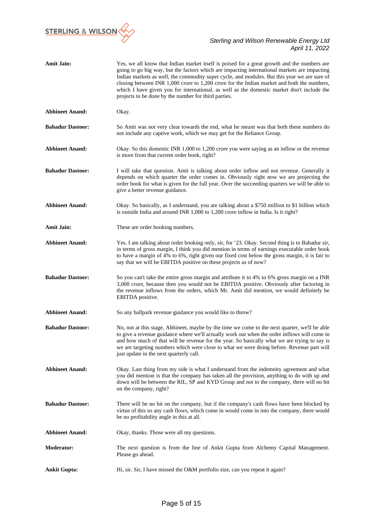

| <b>Amit Jain:</b>       | Yes, we all know that Indian market itself is poised for a great growth and the numbers are<br>going to go big way, but the factors which are impacting international markets are impacting<br>Indian markets as well, the commodity super cycle, and modules. But this year we are sure of<br>closing between INR 1,000 crore to 1,200 crore for the Indian market and both the numbers,<br>which I have given you for international, as well as the domestic market don't include the<br>projects to be done by the number for third parties. |
|-------------------------|-------------------------------------------------------------------------------------------------------------------------------------------------------------------------------------------------------------------------------------------------------------------------------------------------------------------------------------------------------------------------------------------------------------------------------------------------------------------------------------------------------------------------------------------------|
| <b>Abhineet Anand:</b>  | Okay.                                                                                                                                                                                                                                                                                                                                                                                                                                                                                                                                           |
| <b>Bahadur Dastoor:</b> | So Amit was not very clear towards the end, what he meant was that both these numbers do<br>not include any captive work, which we may get for the Reliance Group.                                                                                                                                                                                                                                                                                                                                                                              |
| <b>Abhineet Anand:</b>  | Okay. So this domestic INR 1,000 to 1,200 crore you were saying as an inflow or the revenue<br>is more from that current order book, right?                                                                                                                                                                                                                                                                                                                                                                                                     |
| <b>Bahadur Dastoor:</b> | I will take that question. Amit is talking about order inflow and not revenue. Generally it<br>depends on which quarter the order comes in. Obviously right now we are projecting the<br>order book for what is given for the full year. Over the succeeding quarters we will be able to<br>give a better revenue guidance.                                                                                                                                                                                                                     |
| <b>Abhineet Anand:</b>  | Okay. So basically, as I understand, you are talking about a \$750 million to \$1 billion which<br>is outside India and around INR 1,000 to 1,200 crore inflow in India. Is it right?                                                                                                                                                                                                                                                                                                                                                           |
| <b>Amit Jain:</b>       | These are order booking numbers.                                                                                                                                                                                                                                                                                                                                                                                                                                                                                                                |
| <b>Abhineet Anand:</b>  | Yes. I am talking about order booking only, sir, for '23. Okay. Second thing is to Bahadur sir,<br>in terms of gross margin, I think you did mention in terms of earnings executable order book<br>to have a margin of 4% to 6%, right given our fixed cost below the gross margin, it is fair to<br>say that we will be EBITDA positive on these projects as of now?                                                                                                                                                                           |
| <b>Bahadur Dastoor:</b> | So you can't take the entire gross margin and attribute it to 4% to 6% gross margin on a INR<br>3,000 crore, because then you would not be EBITDA positive. Obviously after factoring in<br>the revenue inflows from the orders, which Mr. Amit did mention, we would definitely be<br>EBITDA positive.                                                                                                                                                                                                                                         |
| <b>Abhineet Anand:</b>  | So any ballpark revenue guidance you would like to throw?                                                                                                                                                                                                                                                                                                                                                                                                                                                                                       |
| <b>Bahadur Dastoor:</b> | No, not at this stage, Abhineet, maybe by the time we come to the next quarter, we'll be able<br>to give a revenue guidance where we'll actually work out when the order inflows will come in<br>and how much of that will be revenue for the year. So basically what we are trying to say is<br>we are targeting numbers which were close to what we were doing before. Revenue part will<br>just update in the next quarterly call.                                                                                                           |
| <b>Abhineet Anand:</b>  | Okay. Last thing from my side is what I understand from the indemnity agreement and what<br>you did mention is that the company has taken all the provision, anything to do with up and<br>down will be between the RIL, SP and KYD Group and not to the company, there will no hit<br>on the company, right?                                                                                                                                                                                                                                   |
| <b>Bahadur Dastoor:</b> | There will be no hit on the company, but if the company's cash flows have been blocked by<br>virtue of this so any cash flows, which come in would come in into the company, there would<br>be no profitability angle in this at all.                                                                                                                                                                                                                                                                                                           |
| <b>Abhineet Anand:</b>  | Okay, thanks. Those were all my questions.                                                                                                                                                                                                                                                                                                                                                                                                                                                                                                      |
| <b>Moderator:</b>       | The next question is from the line of Ankit Gupta from Alchemy Capital Management.<br>Please go ahead.                                                                                                                                                                                                                                                                                                                                                                                                                                          |
| <b>Ankit Gupta:</b>     | Hi, sir. Sir, I have missed the O&M portfolio size, can you repeat it again?                                                                                                                                                                                                                                                                                                                                                                                                                                                                    |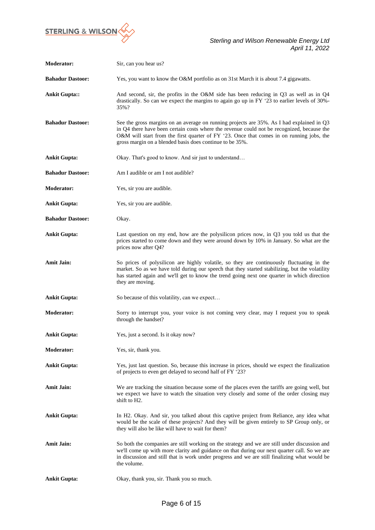

| <b>Moderator:</b>       | Sir, can you hear us?                                                                                                                                                                                                                                                                                                                           |
|-------------------------|-------------------------------------------------------------------------------------------------------------------------------------------------------------------------------------------------------------------------------------------------------------------------------------------------------------------------------------------------|
| <b>Bahadur Dastoor:</b> | Yes, you want to know the O&M portfolio as on 31st March it is about 7.4 gigawatts.                                                                                                                                                                                                                                                             |
| <b>Ankit Gupta::</b>    | And second, sir, the profits in the O&M side has been reducing in Q3 as well as in Q4<br>drastically. So can we expect the margins to again go up in FY $23$ to earlier levels of 30%-<br>35%?                                                                                                                                                  |
| <b>Bahadur Dastoor:</b> | See the gross margins on an average on running projects are 35%. As I had explained in Q3<br>in Q4 there have been certain costs where the revenue could not be recognized, because the<br>O&M will start from the first quarter of FY '23. Once that comes in on running jobs, the<br>gross margin on a blended basis does continue to be 35%. |
| <b>Ankit Gupta:</b>     | Okay. That's good to know. And sir just to understand                                                                                                                                                                                                                                                                                           |
| <b>Bahadur Dastoor:</b> | Am I audible or am I not audible?                                                                                                                                                                                                                                                                                                               |
| <b>Moderator:</b>       | Yes, sir you are audible.                                                                                                                                                                                                                                                                                                                       |
| <b>Ankit Gupta:</b>     | Yes, sir you are audible.                                                                                                                                                                                                                                                                                                                       |
| <b>Bahadur Dastoor:</b> | Okay.                                                                                                                                                                                                                                                                                                                                           |
| <b>Ankit Gupta:</b>     | Last question on my end, how are the polysilicon prices now, in $Q3$ you told us that the<br>prices started to come down and they were around down by 10% in January. So what are the<br>prices now after Q4?                                                                                                                                   |
| <b>Amit Jain:</b>       | So prices of polysilicon are highly volatile, so they are continuously fluctuating in the<br>market. So as we have told during our speech that they started stabilizing, but the volatility<br>has started again and we'll get to know the trend going next one quarter in which direction<br>they are moving.                                  |
| <b>Ankit Gupta:</b>     | So because of this volatility, can we expect                                                                                                                                                                                                                                                                                                    |
| <b>Moderator:</b>       | Sorry to interrupt you, your voice is not coming very clear, may I request you to speak<br>through the handset?                                                                                                                                                                                                                                 |
| <b>Ankit Gupta:</b>     | Yes, just a second. Is it okay now?                                                                                                                                                                                                                                                                                                             |
| <b>Moderator:</b>       | Yes, sir, thank you.                                                                                                                                                                                                                                                                                                                            |
| <b>Ankit Gupta:</b>     | Yes, just last question. So, because this increase in prices, should we expect the finalization<br>of projects to even get delayed to second half of FY '23?                                                                                                                                                                                    |
| <b>Amit Jain:</b>       | We are tracking the situation because some of the places even the tariffs are going well, but<br>we expect we have to watch the situation very closely and some of the order closing may<br>shift to H <sub>2</sub> .                                                                                                                           |
| <b>Ankit Gupta:</b>     | In H2. Okay. And sir, you talked about this captive project from Reliance, any idea what<br>would be the scale of these projects? And they will be given entirely to SP Group only, or<br>they will also be like will have to wait for them?                                                                                                    |
| <b>Amit Jain:</b>       | So both the companies are still working on the strategy and we are still under discussion and<br>we'll come up with more clarity and guidance on that during our next quarter call. So we are<br>in discussion and still that is work under progress and we are still finalizing what would be<br>the volume.                                   |
| <b>Ankit Gupta:</b>     | Okay, thank you, sir. Thank you so much.                                                                                                                                                                                                                                                                                                        |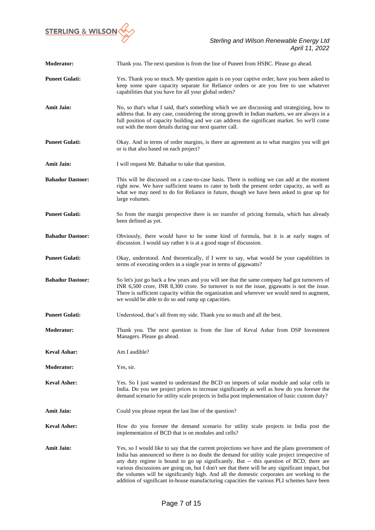

| <b>Moderator:</b>       | Thank you. The next question is from the line of Puneet from HSBC. Please go ahead.                                                                                                                                                                                                                                                                                                                                                                                                                                                                                                       |
|-------------------------|-------------------------------------------------------------------------------------------------------------------------------------------------------------------------------------------------------------------------------------------------------------------------------------------------------------------------------------------------------------------------------------------------------------------------------------------------------------------------------------------------------------------------------------------------------------------------------------------|
| <b>Puneet Gulati:</b>   | Yes. Thank you so much. My question again is on your captive order, have you been asked to<br>keep some spare capacity separate for Reliance orders or are you free to use whatever<br>capabilities that you have for all your global orders?                                                                                                                                                                                                                                                                                                                                             |
| <b>Amit Jain:</b>       | No, so that's what I said, that's something which we are discussing and strategizing, how to<br>address that. In any case, considering the strong growth in Indian markets, we are always in a<br>full position of capacity building and we can address the significant market. So we'll come<br>out with the more details during our next quarter call.                                                                                                                                                                                                                                  |
| <b>Puneet Gulati:</b>   | Okay. And in terms of order margins, is there an agreement as to what margins you will get<br>or is that also based on each project?                                                                                                                                                                                                                                                                                                                                                                                                                                                      |
| <b>Amit Jain:</b>       | I will request Mr. Bahadur to take that question.                                                                                                                                                                                                                                                                                                                                                                                                                                                                                                                                         |
| <b>Bahadur Dastoor:</b> | This will be discussed on a case-to-case basis. There is nothing we can add at the moment<br>right now. We have sufficient teams to cater to both the present order capacity, as well as<br>what we may need to do for Reliance in future, though we have been asked to gear up for<br>large volumes.                                                                                                                                                                                                                                                                                     |
| <b>Puneet Gulati:</b>   | So from the margin perspective there is no transfer of pricing formula, which has already<br>been defined as yet.                                                                                                                                                                                                                                                                                                                                                                                                                                                                         |
| <b>Bahadur Dastoor:</b> | Obviously, there would have to be some kind of formula, but it is at early stages of<br>discussion. I would say rather it is at a good stage of discussion.                                                                                                                                                                                                                                                                                                                                                                                                                               |
| <b>Puneet Gulati:</b>   | Okay, understood. And theoretically, if I were to say, what would be your capabilities in<br>terms of executing orders in a single year in terms of gigawatts?                                                                                                                                                                                                                                                                                                                                                                                                                            |
| <b>Bahadur Dastoor:</b> | So let's just go back a few years and you will see that the same company had got turnovers of<br>INR 6,500 crore, INR 8,300 crore. So turnover is not the issue, gigawatts is not the issue.<br>There is sufficient capacity within the organization and wherever we would need to augment,<br>we would be able to do so and ramp up capacities.                                                                                                                                                                                                                                          |
| <b>Puneet Gulati:</b>   | Understood, that's all from my side. Thank you so much and all the best.                                                                                                                                                                                                                                                                                                                                                                                                                                                                                                                  |
| <b>Moderator:</b>       | Thank you. The next question is from the line of Keval Ashar from DSP Investment<br>Managers. Please go ahead.                                                                                                                                                                                                                                                                                                                                                                                                                                                                            |
| <b>Keval Ashar:</b>     | Am I audible?                                                                                                                                                                                                                                                                                                                                                                                                                                                                                                                                                                             |
| <b>Moderator:</b>       | Yes, sir.                                                                                                                                                                                                                                                                                                                                                                                                                                                                                                                                                                                 |
| <b>Keval Asher:</b>     | Yes. So I just wanted to understand the BCD on imports of solar module and solar cells in<br>India. Do you see project prices to increase significantly as well as how do you foresee the<br>demand scenario for utility scale projects in India post implementation of basic custom duty?                                                                                                                                                                                                                                                                                                |
| <b>Amit Jain:</b>       | Could you please repeat the last line of the question?                                                                                                                                                                                                                                                                                                                                                                                                                                                                                                                                    |
| <b>Keval Asher:</b>     | How do you foresee the demand scenario for utility scale projects in India post the<br>implementation of BCD that is on modules and cells?                                                                                                                                                                                                                                                                                                                                                                                                                                                |
| <b>Amit Jain:</b>       | Yes, so I would like to say that the current projections we have and the plans government of<br>India has announced so there is no doubt the demand for utility scale project irrespective of<br>any duty regime is bound to go up significantly. But -- this question of BCD, there are<br>various discussions are going on, but I don't see that there will be any significant impact, but<br>the volumes will be significantly high. And all the domestic corporates are working to the<br>addition of significant in-house manufacturing capacities the various PLI schemes have been |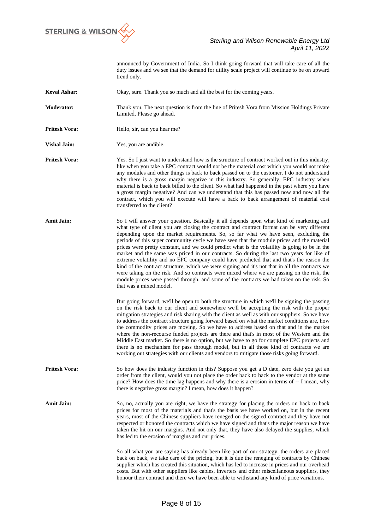

announced by Government of India. So I think going forward that will take care of all the duty issues and we see that the demand for utility scale project will continue to be on upward trend only.

**Keval Ashar:** Okay, sure. Thank you so much and all the best for the coming years.

**Moderator:** Thank you. The next question is from the line of Pritesh Vora from Mission Holdings Private Limited. Please go ahead.

**Pritesh Vora: Hello, sir, can you hear me?** 

**Vishal Jain:** Yes, you are audible.

**Pritesh Vora:** Yes. So I just want to understand how is the structure of contract worked out in this industry, like when you take a EPC contract would not be the material cost which you would not make any modules and other things is back to back passed on to the customer. I do not understand why there is a gross margin negative in this industry. So generally, EPC industry when material is back to back billed to the client. So what had happened in the past where you have a gross margin negative? And can we understand that this has passed now and now all the contract, which you will execute will have a back to back arrangement of material cost transferred to the client?

**Amit Jain:** So I will answer your question. Basically it all depends upon what kind of marketing and what type of client you are closing the contract and contract format can be very different depending upon the market requirements. So, so far what we have seen, excluding the periods of this super community cycle we have seen that the module prices and the material prices were pretty constant, and we could predict what is the volatility is going to be in the market and the same was priced in our contracts. So during the last two years for like of extreme volatility and no EPC company could have predicted that and that's the reason the kind of the contract structure, which we were signing and it's not that in all the contracts we were taking on the risk. And so contracts were mixed where we are passing on the risk, the module prices were passed through, and some of the contracts we had taken on the risk. So that was a mixed model.

> But going forward, we'll be open to both the structure in which we'll be signing the passing on the risk back to our client and somewhere we'll be accepting the risk with the proper mitigation strategies and risk sharing with the client as well as with our suppliers. So we have to address the contract structure going forward based on what the market conditions are, how the commodity prices are moving. So we have to address based on that and in the market where the non-recourse funded projects are there and that's in most of the Western and the Middle East market. So there is no option, but we have to go for complete EPC projects and there is no mechanism for pass through model, but in all those kind of contracts we are working out strategies with our clients and vendors to mitigate those risks going forward.

**Pritesh Vora:** So how does the industry function in this? Suppose you get a D date, zero date you get an order from the client, would you not place the order back to back to the vendor at the same price? How does the time lag happens and why there is a erosion in terms of -- I mean, why there is negative gross margin? I mean, how does it happen?

Amit Jain: So, no, actually you are right, we have the strategy for placing the orders on back to back prices for most of the materials and that's the basis we have worked on, but in the recent years, most of the Chinese suppliers have reneged on the signed contract and they have not respected or honored the contracts which we have signed and that's the major reason we have taken the hit on our margins. And not only that, they have also delayed the supplies, which has led to the erosion of margins and our prices.

> So all what you are saying has already been like part of our strategy, the orders are placed back on back, we take care of the pricing, but it is due the reneging of contracts by Chinese supplier which has created this situation, which has led to increase in prices and our overhead costs. But with other suppliers like cables, inverters and other miscellaneous suppliers, they honour their contract and there we have been able to withstand any kind of price variations.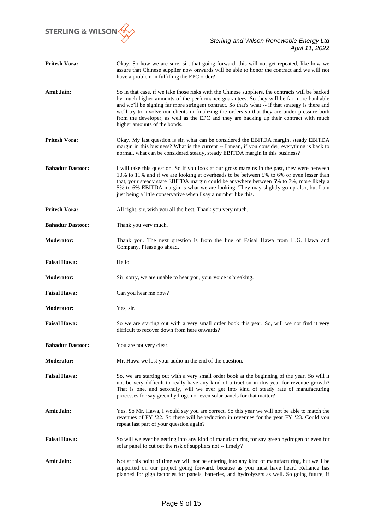

| <b>Pritesh Vora:</b>    | Okay. So how we are sure, sir, that going forward, this will not get repeated, like how we<br>assure that Chinese supplier now onwards will be able to honor the contract and we will not<br>have a problem in fulfilling the EPC order?                                                                                                                                                                                                                                                                                      |
|-------------------------|-------------------------------------------------------------------------------------------------------------------------------------------------------------------------------------------------------------------------------------------------------------------------------------------------------------------------------------------------------------------------------------------------------------------------------------------------------------------------------------------------------------------------------|
| <b>Amit Jain:</b>       | So in that case, if we take those risks with the Chinese suppliers, the contracts will be backed<br>by much higher amounts of the performance guarantees. So they will be far more bankable<br>and we'll be signing far more stringent contract. So that's what -- if that strategy is there and<br>we'll try to involve our clients in finalizing the orders so that they are under pressure both<br>from the developer, as well as the EPC and they are backing up their contract with much<br>higher amounts of the bonds. |
| <b>Pritesh Vora:</b>    | Okay. My last question is sir, what can be considered the EBITDA margin, steady EBITDA<br>margin in this business? What is the current -- I mean, if you consider, everything is back to<br>normal, what can be considered steady, steady EBITDA margin in this business?                                                                                                                                                                                                                                                     |
| <b>Bahadur Dastoor:</b> | I will take this question. So if you look at our gross margins in the past, they were between<br>10% to 11% and if we are looking at overheads to be between 5% to 6% or even lesser than<br>that, your steady state EBITDA margin could be anywhere between 5% to 7%, more likely a<br>5% to 6% EBITDA margin is what we are looking. They may slightly go up also, but I am<br>just being a little conservative when I say a number like this.                                                                              |
| <b>Pritesh Vora:</b>    | All right, sir, wish you all the best. Thank you very much.                                                                                                                                                                                                                                                                                                                                                                                                                                                                   |
| <b>Bahadur Dastoor:</b> | Thank you very much.                                                                                                                                                                                                                                                                                                                                                                                                                                                                                                          |
| <b>Moderator:</b>       | Thank you. The next question is from the line of Faisal Hawa from H.G. Hawa and<br>Company. Please go ahead.                                                                                                                                                                                                                                                                                                                                                                                                                  |
| <b>Faisal Hawa:</b>     | Hello.                                                                                                                                                                                                                                                                                                                                                                                                                                                                                                                        |
| <b>Moderator:</b>       | Sir, sorry, we are unable to hear you, your voice is breaking.                                                                                                                                                                                                                                                                                                                                                                                                                                                                |
| <b>Faisal Hawa:</b>     | Can you hear me now?                                                                                                                                                                                                                                                                                                                                                                                                                                                                                                          |
| <b>Moderator:</b>       | Yes, sir.                                                                                                                                                                                                                                                                                                                                                                                                                                                                                                                     |
| <b>Faisal Hawa:</b>     | So we are starting out with a very small order book this year. So, will we not find it very<br>difficult to recover down from here onwards?                                                                                                                                                                                                                                                                                                                                                                                   |
| <b>Bahadur Dastoor:</b> | You are not very clear.                                                                                                                                                                                                                                                                                                                                                                                                                                                                                                       |
| <b>Moderator:</b>       | Mr. Hawa we lost your audio in the end of the question.                                                                                                                                                                                                                                                                                                                                                                                                                                                                       |
| <b>Faisal Hawa:</b>     | So, we are starting out with a very small order book at the beginning of the year. So will it<br>not be very difficult to really have any kind of a traction in this year for revenue growth?<br>That is one, and secondly, will we ever get into kind of steady rate of manufacturing<br>processes for say green hydrogen or even solar panels for that matter?                                                                                                                                                              |
| <b>Amit Jain:</b>       | Yes. So Mr. Hawa, I would say you are correct. So this year we will not be able to match the<br>revenues of FY '22. So there will be reduction in revenues for the year FY '23. Could you<br>repeat last part of your question again?                                                                                                                                                                                                                                                                                         |
| <b>Faisal Hawa:</b>     | So will we ever be getting into any kind of manufacturing for say green hydrogen or even for<br>solar panel to cut out the risk of suppliers not -- timely?                                                                                                                                                                                                                                                                                                                                                                   |
| <b>Amit Jain:</b>       | Not at this point of time we will not be entering into any kind of manufacturing, but we'll be<br>supported on our project going forward, because as you must have heard Reliance has<br>planned for giga factories for panels, batteries, and hydrolyzers as well. So going future, if                                                                                                                                                                                                                                       |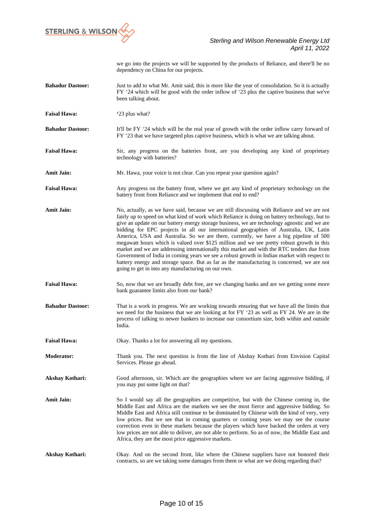

we go into the projects we will be supported by the products of Reliance, and there'll be no dependency on China for our projects.

- **Bahadur Dastoor:** Just to add to what Mr. Amit said, this is more like the year of consolidation. So it is actually FY '24 which will be good with the order inflow of '23 plus the captive business that we've been talking about.
- **Faisal Hawa:** '23 plus what?
- **Bahadur Dastoor:** It'll be FY '24 which will be the real year of growth with the order inflow carry forward of FY '23 that we have targeted plus captive business, which is what we are talking about.
- Faisal Hawa: Sir, any progress on the batteries front, are you developing any kind of proprietary technology with batteries?
- **Amit Jain:** Mr. Hawa, your voice is not clear. Can you repeat your question again?
- Faisal Hawa: Any progress on the battery front, where we get any kind of proprietary technology on the battery front from Reliance and we implement that end to end?
- **Amit Jain:** No, actually, as we have said, because we are still discussing with Reliance and we are not fairly up to speed on what kind of work which Reliance is doing on battery technology, but to give an update on our battery energy storage business, we are technology agnostic and we are bidding for EPC projects in all our international geographies of Australia, UK, Latin America, USA and Australia. So we are there, currently, we have a big pipeline of 500 megawatt hours which is valued over \$125 million and we see pretty robust growth in this market and we are addressing internationally this market and with the RTC tenders due from Government of India in coming years we see a robust growth in Indian market with respect to battery energy and storage space. But as far as the manufacturing is concerned, we are not going to get in into any manufacturing on our own.
- **Faisal Hawa:** So, now that we are broadly debt free, are we changing banks and are we getting some more bank guarantee limits also from our bank?
- **Bahadur Dastoor:** That is a work in progress. We are working towards ensuring that we have all the limits that we need for the business that we are looking at for FY '23 as well as FY 24. We are in the process of talking to newer bankers to increase our consortium size, both within and outside India.
- **Faisal Hawa:** Okay. Thanks a lot for answering all my questions.
- **Moderator:** Thank you. The next question is from the line of Akshay Kothari from Envision Capital Services. Please go ahead.
- Akshay Kothari: Good afternoon, sir. Which are the geographies where we are facing aggressive bidding, if you may put some light on that?
- **Amit Jain:** So I would say all the geographies are competitive, but with the Chinese coming in, the Middle East and Africa are the markets we see the most fierce and aggressive bidding. So Middle East and Africa still continue to be dominated by Chinese with the kind of very, very low prices. But we see that in coming quarters or coming years we may see the course correction even in these markets because the players which have backed the orders at very low prices are not able to deliver, are not able to perform. So as of now, the Middle East and Africa, they are the most price aggressive markets.
- **Akshay Kothari:** Okay. And on the second front, like where the Chinese suppliers have not honored their contracts, so are we taking some damages from them or what are we doing regarding that?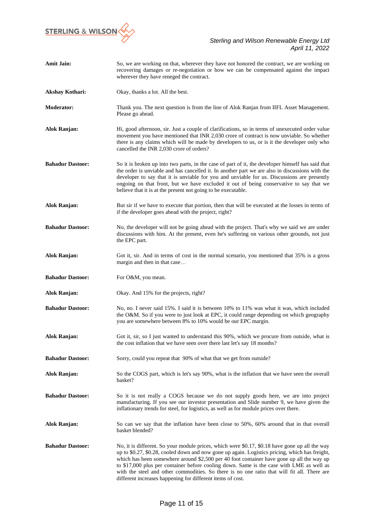

| <b>Amit Jain:</b>       | So, we are working on that, wherever they have not honored the contract, we are working on<br>recovering damages or re-negotiation or how we can be compensated against the impact<br>wherever they have reneged the contract.                                                                                                                                                                                                                                                                                                                         |
|-------------------------|--------------------------------------------------------------------------------------------------------------------------------------------------------------------------------------------------------------------------------------------------------------------------------------------------------------------------------------------------------------------------------------------------------------------------------------------------------------------------------------------------------------------------------------------------------|
| <b>Akshay Kothari:</b>  | Okay, thanks a lot. All the best.                                                                                                                                                                                                                                                                                                                                                                                                                                                                                                                      |
| <b>Moderator:</b>       | Thank you. The next question is from the line of Alok Ranjan from IIFL Asset Management.<br>Please go ahead.                                                                                                                                                                                                                                                                                                                                                                                                                                           |
| Alok Ranjan:            | Hi, good afternoon, sir. Just a couple of clarifications, so in terms of unexecuted order value<br>movement you have mentioned that INR 2,030 crore of contract is now unviable. So whether<br>there is any claims which will be made by developers to us, or is it the developer only who<br>cancelled the INR 2,030 crore of orders?                                                                                                                                                                                                                 |
| <b>Bahadur Dastoor:</b> | So it is broken up into two parts, in the case of part of it, the developer himself has said that<br>the order is unviable and has cancelled it. In another part we are also in discussions with the<br>developer to say that it is unviable for you and unviable for us. Discussions are presently<br>ongoing on that front, but we have excluded it out of being conservative to say that we<br>believe that it is at the present not going to be executable.                                                                                        |
| Alok Ranjan:            | But sir if we have to execute that portion, then that will be executed at the losses in terms of<br>if the developer goes ahead with the project, right?                                                                                                                                                                                                                                                                                                                                                                                               |
| <b>Bahadur Dastoor:</b> | No, the developer will not be going ahead with the project. That's why we said we are under<br>discussions with him. At the present, even he's suffering on various other grounds, not just<br>the EPC part.                                                                                                                                                                                                                                                                                                                                           |
| Alok Ranjan:            | Got it, sir. And in terms of cost in the normal scenario, you mentioned that 35% is a gross<br>margin and then in that case                                                                                                                                                                                                                                                                                                                                                                                                                            |
| <b>Bahadur Dastoor:</b> | For O&M, you mean.                                                                                                                                                                                                                                                                                                                                                                                                                                                                                                                                     |
| Alok Ranjan:            | Okay. And 15% for the projects, right?                                                                                                                                                                                                                                                                                                                                                                                                                                                                                                                 |
| <b>Bahadur Dastoor:</b> | No, no. I never said 15%. I said it is between 10% to 11% was what it was, which included<br>the O&M. So if you were to just look at EPC, it could range depending on which geography<br>you are somewhere between 8% to 10% would be our EPC margin.                                                                                                                                                                                                                                                                                                  |
| Alok Ranjan:            | Got it, sir, so I just wanted to understand this 90%, which we procure from outside, what is<br>the cost inflation that we have seen over there last let's say 18 months?                                                                                                                                                                                                                                                                                                                                                                              |
| <b>Bahadur Dastoor:</b> | Sorry, could you repeat that 90% of what that we get from outside?                                                                                                                                                                                                                                                                                                                                                                                                                                                                                     |
| Alok Ranjan:            | So the COGS part, which is let's say 90%, what is the inflation that we have seen the overall<br>basket?                                                                                                                                                                                                                                                                                                                                                                                                                                               |
| <b>Bahadur Dastoor:</b> | So it is not really a COGS because we do not supply goods here, we are into project<br>manufacturing. If you see our investor presentation and Slide number 9, we have given the<br>inflationary trends for steel, for logistics, as well as for module prices over there.                                                                                                                                                                                                                                                                             |
| Alok Ranjan:            | So can we say that the inflation have been close to 50%, 60% around that in that overall<br>basket blended?                                                                                                                                                                                                                                                                                                                                                                                                                                            |
| <b>Bahadur Dastoor:</b> | No, it is different. So your module prices, which were \$0.17, \$0.18 have gone up all the way<br>up to \$0.27, \$0.28, cooled down and now gone up again. Logistics pricing, which has freight,<br>which has been somewhere around \$2,500 per 40 foot container have gone up all the way up<br>to \$17,000 plus per container before cooling down. Same is the case with LME as well as<br>with the steel and other commodities. So there is no one ratio that will fit all. There are<br>different increases happening for different items of cost. |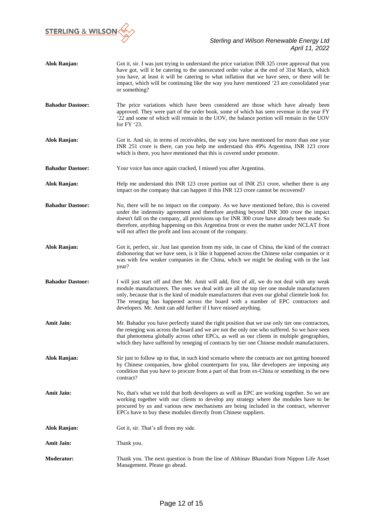

| <b>Alok Ranjan:</b>     | Got it, sir. I was just trying to understand the price variation INR 325 crore approval that you<br>have got, will it be catering to the unexecuted order value at the end of 31st March, which<br>you have, at least it will be catering to what inflation that we have seen, or there will be<br>impact, which will be continuing like the way you have mentioned '23 are consolidated year<br>or something?                                     |
|-------------------------|----------------------------------------------------------------------------------------------------------------------------------------------------------------------------------------------------------------------------------------------------------------------------------------------------------------------------------------------------------------------------------------------------------------------------------------------------|
| <b>Bahadur Dastoor:</b> | The price variations which have been considered are those which have already been<br>approved. They were part of the order book, some of which has seen revenue in the year FY<br>'22 and some of which will remain in the UOV, the balance portion will remain in the UOV<br>for FY '23.                                                                                                                                                          |
| Alok Ranjan:            | Got it. And sir, in terms of receivables, the way you have mentioned for more than one year<br>INR 251 crore is there, can you help me understand this 49% Argentina, INR 123 crore<br>which is there, you have mentioned that this is covered under promoter.                                                                                                                                                                                     |
| <b>Bahadur Dastoor:</b> | Your voice has once again cracked, I missed you after Argentina.                                                                                                                                                                                                                                                                                                                                                                                   |
| Alok Ranjan:            | Help me understand this INR 123 crore portion out of INR 251 crore, whether there is any<br>impact on the company that can happen if this INR 123 crore cannot be recovered?                                                                                                                                                                                                                                                                       |
| <b>Bahadur Dastoor:</b> | No, there will be no impact on the company. As we have mentioned before, this is covered<br>under the indemnity agreement and therefore anything beyond INR 300 crore the impact<br>doesn't fall on the company, all provisions up for INR 300 crore have already been made. So<br>therefore, anything happening on this Argentina front or even the matter under NCLAT front<br>will not affect the profit and loss account of the company.       |
| Alok Ranjan:            | Got it, perfect, sir. Just last question from my side, in case of China, the kind of the contract<br>dishonoring that we have seen, is it like it happened across the Chinese solar companies or it<br>was with few weaker companies in the China, which we might be dealing with in the last<br>year?                                                                                                                                             |
| <b>Bahadur Dastoor:</b> | I will just start off and then Mr. Amit will add, first of all, we do not deal with any weak<br>module manufacturers. The ones we deal with are all the top tier one module manufacturers<br>only, because that is the kind of module manufacturers that even our global clientele look for.<br>The reneging has happened across the board with a number of EPC contractors and<br>developers. Mr. Amit can add further if I have missed anything. |
| <b>Amit Jain:</b>       | Mr. Bahadur you have perfectly stated the right position that we use only tier one contractors,<br>the reneging was across the board and we are not the only one who suffered. So we have seen<br>that phenomena globally across other EPCs, as well as our clients in multiple geographies,<br>which they have suffered by reneging of contracts by tier one Chinese module manufacturers.                                                        |
| Alok Ranjan:            | Sir just to follow up to that, in such kind scenario where the contracts are not getting honored<br>by Chinese companies, how global counterparts for you, like developers are imposing any<br>condition that you have to procure from a part of that from ex-China or something in the new<br>contract?                                                                                                                                           |
| <b>Amit Jain:</b>       | No, that's what we told that both developers as well as EPC are working together. So we are<br>working together with our clients to develop any strategy where the modules have to be<br>procured by us and various new mechanisms are being included in the contract, wherever<br>EPCs have to buy these modules directly from Chinese suppliers.                                                                                                 |
| Alok Ranjan:            | Got it, sir. That's all from my side.                                                                                                                                                                                                                                                                                                                                                                                                              |
| <b>Amit Jain:</b>       | Thank you.                                                                                                                                                                                                                                                                                                                                                                                                                                         |
| <b>Moderator:</b>       | Thank you. The next question is from the line of Abhinav Bhandari from Nippon Life Asset<br>Management. Please go ahead.                                                                                                                                                                                                                                                                                                                           |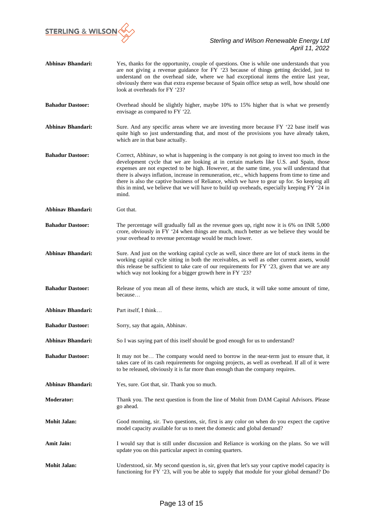

| <b>Abhinav Bhandari:</b> | Yes, thanks for the opportunity, couple of questions. One is while one understands that you<br>are not giving a revenue guidance for FY '23 because of things getting decided, just to<br>understand on the overhead side, where we had exceptional items the entire last year,<br>obviously there was that extra expense because of Spain office setup as well, how should one<br>look at overheads for FY '23?                                                                                                                                                                                |
|--------------------------|-------------------------------------------------------------------------------------------------------------------------------------------------------------------------------------------------------------------------------------------------------------------------------------------------------------------------------------------------------------------------------------------------------------------------------------------------------------------------------------------------------------------------------------------------------------------------------------------------|
| <b>Bahadur Dastoor:</b>  | Overhead should be slightly higher, maybe 10% to 15% higher that is what we presently<br>envisage as compared to FY '22.                                                                                                                                                                                                                                                                                                                                                                                                                                                                        |
| <b>Abhinav Bhandari:</b> | Sure. And any specific areas where we are investing more because FY '22 base itself was<br>quite high so just understanding that, and most of the provisions you have already taken,<br>which are in that base actually.                                                                                                                                                                                                                                                                                                                                                                        |
| <b>Bahadur Dastoor:</b>  | Correct, Abhinav, so what is happening is the company is not going to invest too much in the<br>development cycle that we are looking at in certain markets like U.S. and Spain, those<br>expenses are not expected to be high. However, at the same time, you will understand that<br>there is always inflation, increase in remuneration, etc., which happens from time to time and<br>there is also the captive business of Reliance, which we have to gear up for. So keeping all<br>this in mind, we believe that we will have to build up oveheads, especially keeping FY '24 in<br>mind. |
| <b>Abhinav Bhandari:</b> | Got that.                                                                                                                                                                                                                                                                                                                                                                                                                                                                                                                                                                                       |
| <b>Bahadur Dastoor:</b>  | The percentage will gradually fall as the revenue goes up, right now it is 6% on INR 5,000<br>crore, obviously in FY '24 when things are much, much better as we believe they would be<br>your overhead to revenue percentage would be much lower.                                                                                                                                                                                                                                                                                                                                              |
| <b>Abhinav Bhandari:</b> | Sure. And just on the working capital cycle as well, since there are lot of stuck items in the<br>working capital cycle sitting in both the receivables, as well as other current assets, would<br>this release be sufficient to take care of our requirements for FY '23, given that we are any<br>which way not looking for a bigger growth here in FY '23?                                                                                                                                                                                                                                   |
| <b>Bahadur Dastoor:</b>  | Release of you mean all of these items, which are stuck, it will take some amount of time,<br>because                                                                                                                                                                                                                                                                                                                                                                                                                                                                                           |
| <b>Abhinav Bhandari:</b> | Part itself, I think                                                                                                                                                                                                                                                                                                                                                                                                                                                                                                                                                                            |
| <b>Bahadur Dastoor:</b>  | Sorry, say that again, Abhinav.                                                                                                                                                                                                                                                                                                                                                                                                                                                                                                                                                                 |
| <b>Abhinav Bhandari:</b> | So I was saying part of this itself should be good enough for us to understand?                                                                                                                                                                                                                                                                                                                                                                                                                                                                                                                 |
| <b>Bahadur Dastoor:</b>  | It may not be The company would need to borrow in the near-term just to ensure that, it<br>takes care of its cash requirements for ongoing projects, as well as overhead. If all of it were<br>to be released, obviously it is far more than enough than the company requires.                                                                                                                                                                                                                                                                                                                  |
| <b>Abhinav Bhandari:</b> | Yes, sure. Got that, sir. Thank you so much.                                                                                                                                                                                                                                                                                                                                                                                                                                                                                                                                                    |
| <b>Moderator:</b>        | Thank you. The next question is from the line of Mohit from DAM Capital Advisors. Please<br>go ahead.                                                                                                                                                                                                                                                                                                                                                                                                                                                                                           |
| <b>Mohit Jalan:</b>      | Good morning, sir. Two questions, sir, first is any color on when do you expect the captive<br>model capacity available for us to meet the domestic and global demand?                                                                                                                                                                                                                                                                                                                                                                                                                          |
| <b>Amit Jain:</b>        | I would say that is still under discussion and Reliance is working on the plans. So we will<br>update you on this particular aspect in coming quarters.                                                                                                                                                                                                                                                                                                                                                                                                                                         |
| <b>Mohit Jalan:</b>      | Understood, sir. My second question is, sir, given that let's say your captive model capacity is<br>functioning for FY '23, will you be able to supply that module for your global demand? Do                                                                                                                                                                                                                                                                                                                                                                                                   |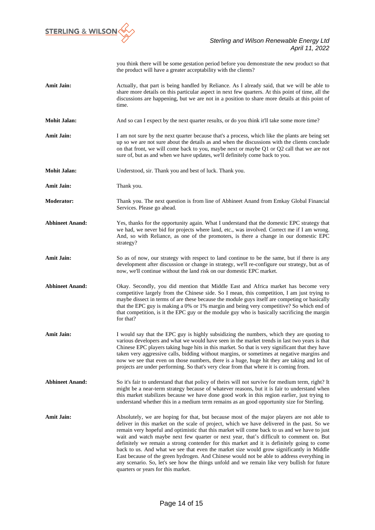

you think there will be some gestation period before you demonstrate the new product so that the product will have a greater acceptability with the clients?

- Amit Jain: **Actually, that part is being handled by Reliance.** As I already said, that we will be able to share more details on this particular aspect in next few quarters. At this point of time, all the discussions are happening, but we are not in a position to share more details at this point of time.
- **Mohit Jalan:** And so can I expect by the next quarter results, or do you think it'll take some more time?
- **Amit Jain:** I am not sure by the next quarter because that's a process, which like the plants are being set up so we are not sure about the details as and when the discussions with the clients conclude on that front, we will come back to you, maybe next or maybe Q1 or Q2 call that we are not sure of, but as and when we have updates, we'll definitely come back to you.
- **Mohit Jalan:** Understood, sir. Thank you and best of luck. Thank you.
- **Amit Jain:** Thank you.
- **Moderator:** Thank you. The next question is from line of Abhineet Anand from Emkay Global Financial Services. Please go ahead.
- **Abhineet Anand:** Yes, thanks for the opportunity again. What I understand that the domestic EPC strategy that we had, we never bid for projects where land, etc., was involved. Correct me if I am wrong. And, so with Reliance, as one of the promoters, is there a change in our domestic EPC strategy?
- **Amit Jain:** So as of now, our strategy with respect to land continue to be the same, but if there is any development after discussion or change in strategy, we'll re-configure our strategy, but as of now, we'll continue without the land risk on our domestic EPC market.
- Abhineet Anand: Okay. Secondly, you did mention that Middle East and Africa market has become very competitive largely from the Chinese side. So I mean, this competition, I am just trying to maybe dissect in terms of are these because the module guys itself are competing or basically that the EPC guy is making a 0% or 1% margin and being very competitive? So which end of that competition, is it the EPC guy or the module guy who is basically sacrificing the margin for that?
- **Amit Jain:** I would say that the EPC guy is highly subsidizing the numbers, which they are quoting to various developers and what we would have seen in the market trends in last two years is that Chinese EPC players taking huge hits in this market. So that is very significant that they have taken very aggressive calls, bidding without margins, or sometimes at negative margins and now we see that even on those numbers, there is a huge, huge hit they are taking and lot of projects are under performing. So that's very clear from that where it is coming from.
- Abhineet Anand: So it's fair to understand that that policy of theirs will not survive for medium term, right? It might be a near-term strategy because of whatever reasons, but it is fair to understand when this market stabilizes because we have done good work in this region earlier, just trying to understand whether this in a medium term remains as an good opportunity size for Sterling.
- **Amit Jain: Absolutely, we are hoping for that, but because most of the major players are not able to** deliver in this market on the scale of project, which we have delivered in the past. So we remain very hopeful and optimistic that this market will come back to us and we have to just wait and watch maybe next few quarter or next year, that's difficult to comment on. But definitely we remain a strong contender for this market and it is definitely going to come back to us. And what we see that even the market size would grow significantly in Middle East because of the green hydrogen. And Chinese would not be able to address everything in any scenario. So, let's see how the things unfold and we remain like very bullish for future quarters or years for this market.